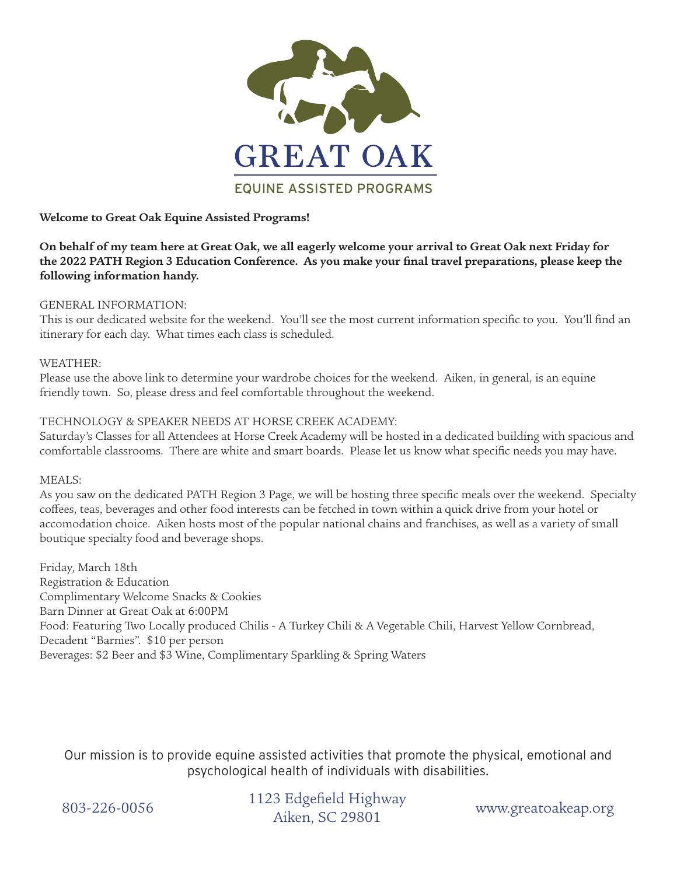

## **Welcome to Great Oak Equine Assisted Programs!**

**On behalf of my team here at Great Oak, we all eagerly welcome your arrival to Great Oak next Friday for the 2022 PATH Region 3 Education Conference. As you make your final travel preparations, please keep the following information handy.**

### GENERAL INFORMATION:

This is our dedicated website for the weekend. You'll see the most current information specific to you. You'll find an itinerary for each day. What times each class is scheduled.

## WEATHER:

Please use the above link to determine your wardrobe choices for the weekend. Aiken, in general, is an equine friendly town. So, please dress and feel comfortable throughout the weekend.

# TECHNOLOGY & SPEAKER NEEDS AT HORSE CREEK ACADEMY:

Saturday's Classes for all Attendees at Horse Creek Academy will be hosted in a dedicated building with spacious and comfortable classrooms. There are white and smart boards. Please let us know what specific needs you may have.

MEALS:

As you saw on the dedicated PATH Region 3 Page, we will be hosting three specific meals over the weekend. Specialty coffees, teas, beverages and other food interests can be fetched in town within a quick drive from your hotel or accomodation choice. Aiken hosts most of the popular national chains and franchises, as well as a variety of small boutique specialty food and beverage shops.

Friday, March 18th Registration & Education Complimentary Welcome Snacks & Cookies Barn Dinner at Great Oak at 6:00PM Food: Featuring Two Locally produced Chilis - A Turkey Chili & A Vegetable Chili, Harvest Yellow Cornbread, Decadent "Barnies". \$10 per person Beverages: \$2 Beer and \$3 Wine, Complimentary Sparkling & Spring Waters

Our mission is to provide equine assisted activities that promote the physical, emotional and psychological health of individuals with disabilities.

www.greatoakeap.org 1123 Edgefield Highway 803-226-0056 1123 Eugencid High<br>Aiken, SC 29801